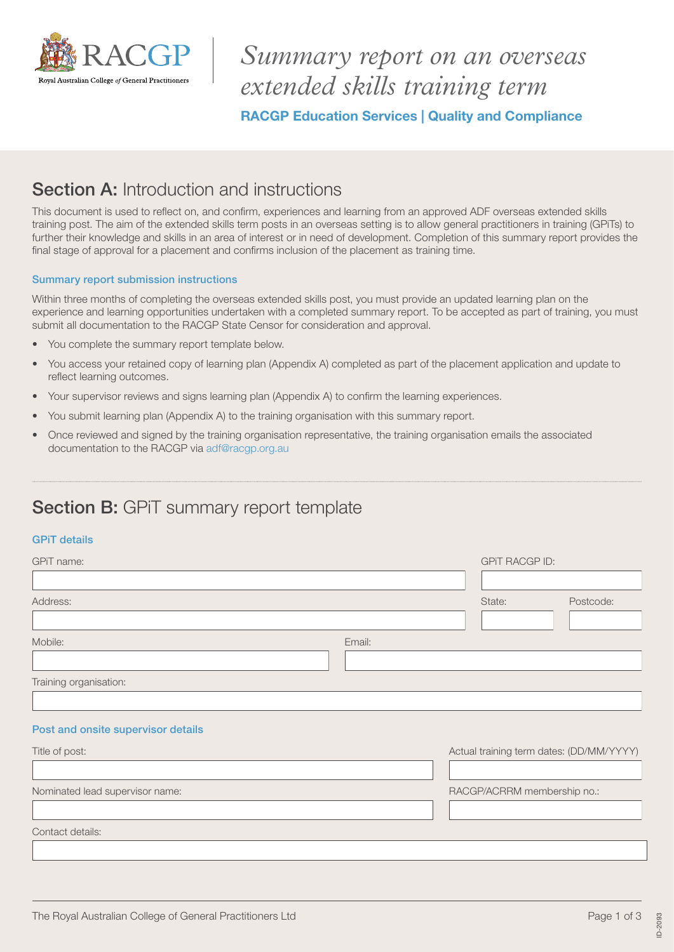

# *Summary report on an overseas extended skills training term*

RACGP Education Services | Quality and Compliance

### Section A: Introduction and instructions

This document is used to reflect on, and confirm, experiences and learning from an approved ADF overseas extended skills training post. The aim of the extended skills term posts in an overseas setting is to allow general practitioners in training (GPiTs) to further their knowledge and skills in an area of interest or in need of development. Completion of this summary report provides the final stage of approval for a placement and confirms inclusion of the placement as training time.

#### Summary report submission instructions

Within three months of completing the overseas extended skills post, you must provide an updated learning plan on the experience and learning opportunities undertaken with a completed summary report. To be accepted as part of training, you must submit all documentation to the RACGP State Censor for consideration and approval.

- You complete the summary report template below.
- You access your retained copy of learning plan (Appendix A) completed as part of the placement application and update to reflect learning outcomes.
- Your supervisor reviews and signs learning plan (Appendix A) to confirm the learning experiences.
- You submit learning plan (Appendix A) to the training organisation with this summary report.
- Once reviewed and signed by the training organisation representative, the training organisation emails the associated documentation to the RACGP via [adf@racgp.org.au](mailto:adf@racgp.org.au)

## Section B: GPiT summary report template

### GPiT details

| GPiT name:                         |        | <b>GPIT RACGP ID:</b>                    |           |  |
|------------------------------------|--------|------------------------------------------|-----------|--|
|                                    |        |                                          |           |  |
| Address:                           |        | State:                                   | Postcode: |  |
|                                    |        |                                          |           |  |
| Mobile:                            | Email: |                                          |           |  |
|                                    |        |                                          |           |  |
| Training organisation:             |        |                                          |           |  |
|                                    |        |                                          |           |  |
| Post and onsite supervisor details |        |                                          |           |  |
| Title of post:                     |        | Actual training term dates: (DD/MM/YYYY) |           |  |
|                                    |        |                                          |           |  |
| Nominated lead supervisor name:    |        | RACGP/ACRRM membership no.:              |           |  |
|                                    |        |                                          |           |  |
| Contact details:                   |        |                                          |           |  |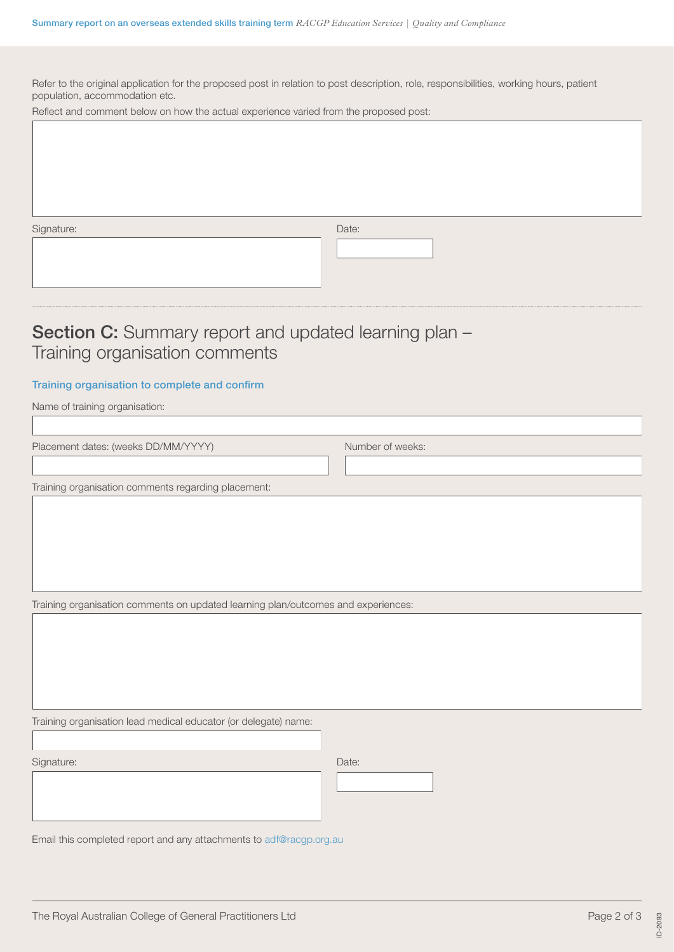Refer to the original application for the proposed post in relation to post description, role, responsibilities, working hours, patient population, accommodation etc.

Reflect and comment below on how the actual experience varied from the proposed post:

Signature: Date: Date: Date: Date: Date: Date: Date: Date: Date: Date: Date: Date: Date: Date: Date: Date: Date: Date: Date: Date: Date: Date: Date: Date: Date: Date: Date: Date: Date: Date: Date: Date: Date: Date: Date: D

 $\overline{\phantom{a}}$ 

### Section C: Summary report and updated learning plan -Training organisation comments

#### Training organisation to complete and confirm

Name of training organisation:

Placement dates: (weeks DD/MM/YYYY) Number of weeks:

Training organisation comments regarding placement:

Training organisation comments on updated learning plan/outcomes and experiences:

Training organisation lead medical educator (or delegate) name:

Signature: Date: Date: Date: Date: Date: Date: Date: Date: Date: Date: Date: Date: Date: Date: Date: Date: Date: Date: Date: Date: Date: Date: Date: Date: Date: Date: Date: Date: Date: Date: Date: Date: Date: Date: Date: D

 $\overline{\phantom{a}}$ 

Email this completed report and any attachments to [adf@racgp.org.au](mailto:adf@racgp.org.au)

ID-2093